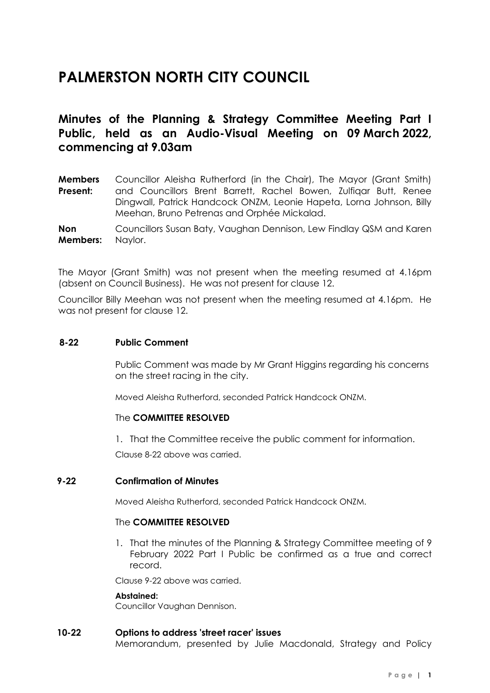# **PALMERSTON NORTH CITY COUNCIL**

# **Minutes of the Planning & Strategy Committee Meeting Part I Public, held as an Audio-Visual Meeting on 09 March 2022, commencing at 9.03am**

**Members Present:** Councillor Aleisha Rutherford (in the Chair), The Mayor (Grant Smith) and Councillors Brent Barrett, Rachel Bowen, Zulfiqar Butt, Renee Dingwall, Patrick Handcock ONZM, Leonie Hapeta, Lorna Johnson, Billy Meehan, Bruno Petrenas and Orphée Mickalad.

**Non Members:** Councillors Susan Baty, Vaughan Dennison, Lew Findlay QSM and Karen Naylor.

The Mayor (Grant Smith) was not present when the meeting resumed at 4.16pm (absent on Council Business). He was not present for clause 12.

Councillor Billy Meehan was not present when the meeting resumed at 4.16pm. He was not present for clause 12.

#### **8-22 Public Comment**

Public Comment was made by Mr Grant Higgins regarding his concerns on the street racing in the city.

Moved Aleisha Rutherford, seconded Patrick Handcock ONZM.

#### The **COMMITTEE RESOLVED**

1. That the Committee receive the public comment for information.

Clause 8-22 above was carried.

#### **9-22 Confirmation of Minutes**

Moved Aleisha Rutherford, seconded Patrick Handcock ONZM.

#### The **COMMITTEE RESOLVED**

1. That the minutes of the Planning & Strategy Committee meeting of 9 February 2022 Part I Public be confirmed as a true and correct record.

Clause 9-22 above was carried.

#### **Abstained:**

Councillor Vaughan Dennison.

#### **10-22 Options to address 'street racer' issues**

Memorandum, presented by Julie Macdonald, Strategy and Policy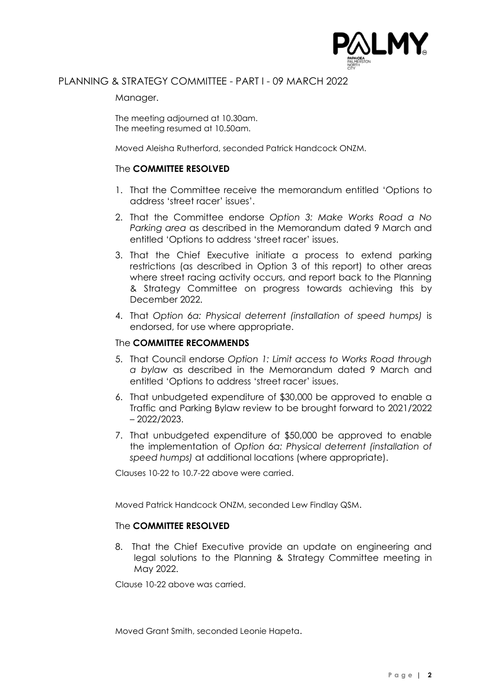

## PLANNING & STRATEGY COMMITTEE - PART I - 09 MARCH 2022

Manager.

The meeting adjourned at 10.30am. The meeting resumed at 10.50am.

Moved Aleisha Rutherford, seconded Patrick Handcock ONZM.

#### The **COMMITTEE RESOLVED**

- 1. That the Committee receive the memorandum entitled 'Options to address 'street racer' issues'.
- 2. That the Committee endorse *Option 3: Make Works Road a No Parking area* as described in the Memorandum dated 9 March and entitled 'Options to address 'street racer' issues.
- 3. That the Chief Executive initiate a process to extend parking restrictions (as described in Option 3 of this report) to other areas where street racing activity occurs, and report back to the Planning & Strategy Committee on progress towards achieving this by December 2022.
- 4. That *Option 6a: Physical deterrent (installation of speed humps)* is endorsed, for use where appropriate.

#### The **COMMITTEE RECOMMENDS**

- 5. That Council endorse *Option 1: Limit access to Works Road through a bylaw* as described in the Memorandum dated 9 March and entitled 'Options to address 'street racer' issues.
- 6. That unbudgeted expenditure of \$30,000 be approved to enable a Traffic and Parking Bylaw review to be brought forward to 2021/2022 – 2022/2023.
- 7. That unbudgeted expenditure of \$50,000 be approved to enable the implementation of *Option 6a: Physical deterrent (installation of speed humps)* at additional locations (where appropriate).

Clauses 10-22 to 10.7-22 above were carried.

Moved Patrick Handcock ONZM, seconded Lew Findlay QSM.

#### The **COMMITTEE RESOLVED**

8. That the Chief Executive provide an update on engineering and legal solutions to the Planning & Strategy Committee meeting in May 2022.

Clause 10-22 above was carried.

Moved Grant Smith, seconded Leonie Hapeta.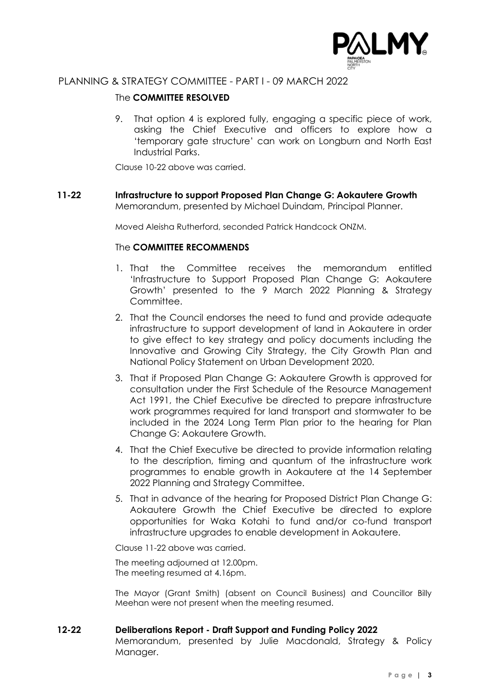

# PLANNING & STRATEGY COMMITTEE - PART I - 09 MARCH 2022

### The **COMMITTEE RESOLVED**

9. That option 4 is explored fully, engaging a specific piece of work, asking the Chief Executive and officers to explore how a 'temporary gate structure' can work on Longburn and North East Industrial Parks.

Clause 10-22 above was carried.

**11-22 Infrastructure to support Proposed Plan Change G: Aokautere Growth** Memorandum, presented by Michael Duindam, Principal Planner.

Moved Aleisha Rutherford, seconded Patrick Handcock ONZM.

#### The **COMMITTEE RECOMMENDS**

- 1. That the Committee receives the memorandum entitled 'Infrastructure to Support Proposed Plan Change G: Aokautere Growth' presented to the 9 March 2022 Planning & Strategy Committee.
- 2. That the Council endorses the need to fund and provide adequate infrastructure to support development of land in Aokautere in order to give effect to key strategy and policy documents including the Innovative and Growing City Strategy, the City Growth Plan and National Policy Statement on Urban Development 2020.
- 3. That if Proposed Plan Change G: Aokautere Growth is approved for consultation under the First Schedule of the Resource Management Act 1991, the Chief Executive be directed to prepare infrastructure work programmes required for land transport and stormwater to be included in the 2024 Long Term Plan prior to the hearing for Plan Change G: Aokautere Growth.
- 4. That the Chief Executive be directed to provide information relating to the description, timing and quantum of the infrastructure work programmes to enable growth in Aokautere at the 14 September 2022 Planning and Strategy Committee.
- 5. That in advance of the hearing for Proposed District Plan Change G: Aokautere Growth the Chief Executive be directed to explore opportunities for Waka Kotahi to fund and/or co-fund transport infrastructure upgrades to enable development in Aokautere.

Clause 11-22 above was carried.

The meeting adjourned at 12.00pm. The meeting resumed at 4.16pm.

The Mayor (Grant Smith) (absent on Council Business) and Councillor Billy Meehan were not present when the meeting resumed.

#### **12-22 Deliberations Report - Draft Support and Funding Policy 2022**

Memorandum, presented by Julie Macdonald, Strategy & Policy Manager.